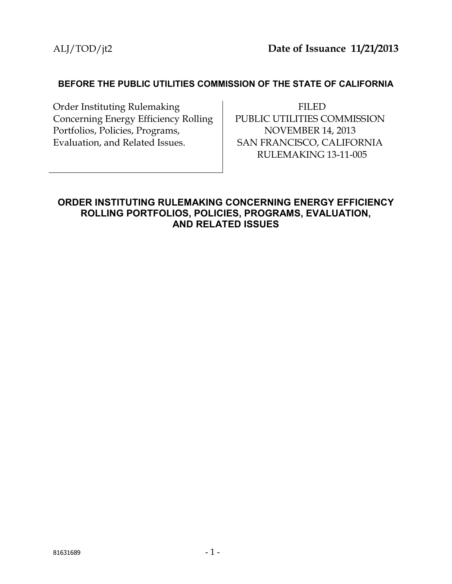#### **BEFORE THE PUBLIC UTILITIES COMMISSION OF THE STATE OF CALIFORNIA**

Order Instituting Rulemaking Concerning Energy Efficiency Rolling Portfolios, Policies, Programs, Evaluation, and Related Issues.

FILED PUBLIC UTILITIES COMMISSION NOVEMBER 14, 2013 SAN FRANCISCO, CALIFORNIA RULEMAKING 13-11-005

## **ORDER INSTITUTING RULEMAKING CONCERNING ENERGY EFFICIENCY ROLLING PORTFOLIOS, POLICIES, PROGRAMS, EVALUATION, AND RELATED ISSUES**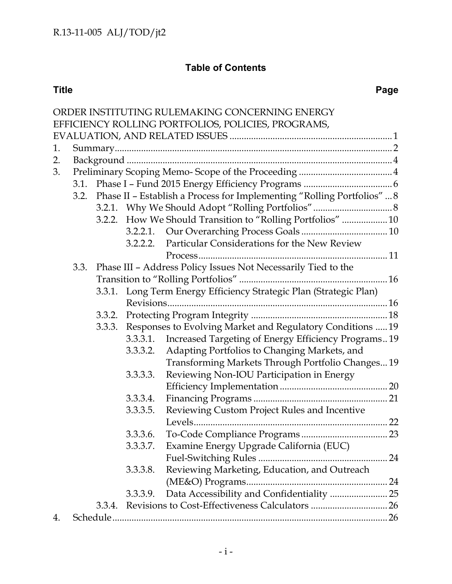# **Table of Contents**

|    |  |        |          | ORDER INSTITUTING RULEMAKING CONCERNING ENERGY                               |  |  |  |
|----|--|--------|----------|------------------------------------------------------------------------------|--|--|--|
|    |  |        |          | EFFICIENCY ROLLING PORTFOLIOS, POLICIES, PROGRAMS,                           |  |  |  |
|    |  |        |          |                                                                              |  |  |  |
| 1. |  |        |          |                                                                              |  |  |  |
| 2. |  |        |          |                                                                              |  |  |  |
| 3. |  |        |          |                                                                              |  |  |  |
|    |  |        |          |                                                                              |  |  |  |
|    |  |        |          | 3.2. Phase II - Establish a Process for Implementing "Rolling Portfolios"  8 |  |  |  |
|    |  |        |          |                                                                              |  |  |  |
|    |  | 3.2.2. |          | How We Should Transition to "Rolling Portfolios"  10                         |  |  |  |
|    |  |        |          |                                                                              |  |  |  |
|    |  |        | 3.2.2.2. | Particular Considerations for the New Review                                 |  |  |  |
|    |  |        |          |                                                                              |  |  |  |
|    |  |        |          | 3.3. Phase III - Address Policy Issues Not Necessarily Tied to the           |  |  |  |
|    |  |        |          |                                                                              |  |  |  |
|    |  |        |          | 3.3.1. Long Term Energy Efficiency Strategic Plan (Strategic Plan)           |  |  |  |
|    |  |        |          |                                                                              |  |  |  |
|    |  | 3.3.2. |          |                                                                              |  |  |  |
|    |  | 3.3.3. |          | Responses to Evolving Market and Regulatory Conditions  19                   |  |  |  |
|    |  |        | 3.3.3.1. | Increased Targeting of Energy Efficiency Programs 19                         |  |  |  |
|    |  |        | 3.3.3.2. | Adapting Portfolios to Changing Markets, and                                 |  |  |  |
|    |  |        |          | Transforming Markets Through Portfolio Changes 19                            |  |  |  |
|    |  |        | 3.3.3.3. | Reviewing Non-IOU Participation in Energy                                    |  |  |  |
|    |  |        |          |                                                                              |  |  |  |
|    |  |        | 3.3.3.4. |                                                                              |  |  |  |
|    |  |        | 3.3.3.5. | Reviewing Custom Project Rules and Incentive                                 |  |  |  |
|    |  |        |          |                                                                              |  |  |  |
|    |  |        | 3.3.3.6. |                                                                              |  |  |  |
|    |  |        |          | 3.3.3.7. Examine Energy Upgrade California (EUC)                             |  |  |  |
|    |  |        |          |                                                                              |  |  |  |
|    |  |        | 3.3.3.8. | Reviewing Marketing, Education, and Outreach                                 |  |  |  |
|    |  |        |          |                                                                              |  |  |  |
|    |  |        | 3.3.3.9. | Data Accessibility and Confidentiality  25                                   |  |  |  |
|    |  |        |          |                                                                              |  |  |  |
| 4. |  |        |          |                                                                              |  |  |  |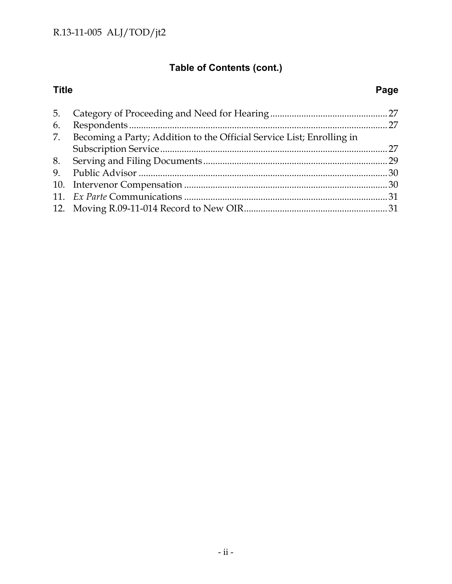# **Table of Contents (cont.)**

## **Title Page**

| 6. |                                                                          |  |  |  |
|----|--------------------------------------------------------------------------|--|--|--|
|    | 7. Becoming a Party; Addition to the Official Service List; Enrolling in |  |  |  |
|    |                                                                          |  |  |  |
|    |                                                                          |  |  |  |
|    |                                                                          |  |  |  |
|    |                                                                          |  |  |  |
|    |                                                                          |  |  |  |
|    |                                                                          |  |  |  |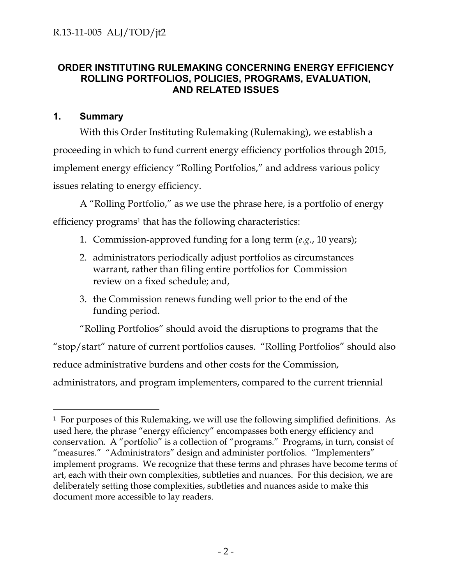## **ORDER INSTITUTING RULEMAKING CONCERNING ENERGY EFFICIENCY ROLLING PORTFOLIOS, POLICIES, PROGRAMS, EVALUATION, AND RELATED ISSUES**

#### **1. Summary**

With this Order Instituting Rulemaking (Rulemaking), we establish a proceeding in which to fund current energy efficiency portfolios through 2015, implement energy efficiency "Rolling Portfolios," and address various policy issues relating to energy efficiency.

A "Rolling Portfolio," as we use the phrase here, is a portfolio of energy efficiency programs<sup>1</sup> that has the following characteristics:

- 1. Commission-approved funding for a long term (*e.g.*, 10 years);
- 2. administrators periodically adjust portfolios as circumstances warrant, rather than filing entire portfolios for Commission review on a fixed schedule; and,
- 3. the Commission renews funding well prior to the end of the funding period.

"Rolling Portfolios" should avoid the disruptions to programs that the "stop/start" nature of current portfolios causes. "Rolling Portfolios" should also reduce administrative burdens and other costs for the Commission, administrators, and program implementers, compared to the current triennial

 <sup>1</sup> For purposes of this Rulemaking, we will use the following simplified definitions. As used here, the phrase "energy efficiency" encompasses both energy efficiency and conservation. A "portfolio" is a collection of "programs." Programs, in turn, consist of "measures." "Administrators" design and administer portfolios. "Implementers" implement programs. We recognize that these terms and phrases have become terms of art, each with their own complexities, subtleties and nuances. For this decision, we are deliberately setting those complexities, subtleties and nuances aside to make this document more accessible to lay readers.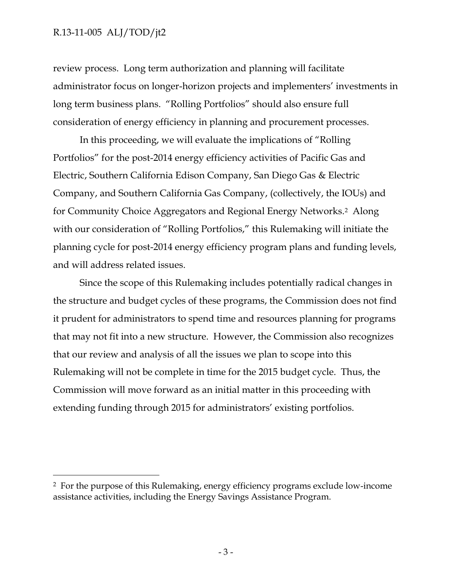review process. Long term authorization and planning will facilitate administrator focus on longer-horizon projects and implementers' investments in long term business plans. "Rolling Portfolios" should also ensure full consideration of energy efficiency in planning and procurement processes.

In this proceeding, we will evaluate the implications of "Rolling Portfolios" for the post-2014 energy efficiency activities of Pacific Gas and Electric, Southern California Edison Company, San Diego Gas & Electric Company, and Southern California Gas Company, (collectively, the IOUs) and for Community Choice Aggregators and Regional Energy Networks.2 Along with our consideration of "Rolling Portfolios," this Rulemaking will initiate the planning cycle for post-2014 energy efficiency program plans and funding levels, and will address related issues.

Since the scope of this Rulemaking includes potentially radical changes in the structure and budget cycles of these programs, the Commission does not find it prudent for administrators to spend time and resources planning for programs that may not fit into a new structure. However, the Commission also recognizes that our review and analysis of all the issues we plan to scope into this Rulemaking will not be complete in time for the 2015 budget cycle. Thus, the Commission will move forward as an initial matter in this proceeding with extending funding through 2015 for administrators' existing portfolios.

 <sup>2</sup> For the purpose of this Rulemaking, energy efficiency programs exclude low-income assistance activities, including the Energy Savings Assistance Program.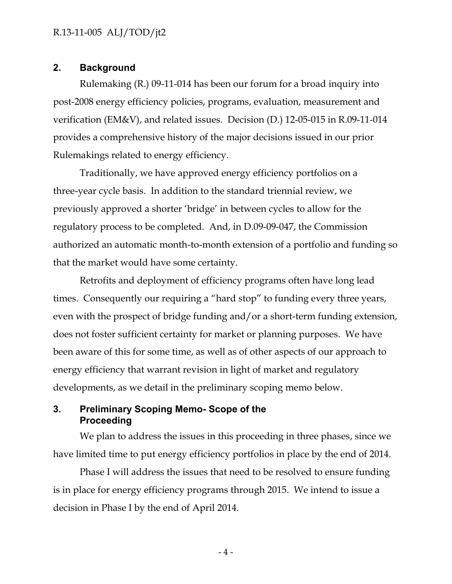#### **2. Background**

Rulemaking (R.) 09-11-014 has been our forum for a broad inquiry into post-2008 energy efficiency policies, programs, evaluation, measurement and verification (EM&V), and related issues. Decision (D.) 12-05-015 in R.09-11-014 provides a comprehensive history of the major decisions issued in our prior Rulemakings related to energy efficiency.

Traditionally, we have approved energy efficiency portfolios on a three-year cycle basis. In addition to the standard triennial review, we previously approved a shorter 'bridge' in between cycles to allow for the regulatory process to be completed. And, in D.09-09-047, the Commission authorized an automatic month-to-month extension of a portfolio and funding so that the market would have some certainty.

Retrofits and deployment of efficiency programs often have long lead times. Consequently our requiring a "hard stop" to funding every three years, even with the prospect of bridge funding and/or a short-term funding extension, does not foster sufficient certainty for market or planning purposes. We have been aware of this for some time, as well as of other aspects of our approach to energy efficiency that warrant revision in light of market and regulatory developments, as we detail in the preliminary scoping memo below.

#### **3. Preliminary Scoping Memo- Scope of the Proceeding**

We plan to address the issues in this proceeding in three phases, since we have limited time to put energy efficiency portfolios in place by the end of 2014.

Phase I will address the issues that need to be resolved to ensure funding is in place for energy efficiency programs through 2015. We intend to issue a decision in Phase I by the end of April 2014.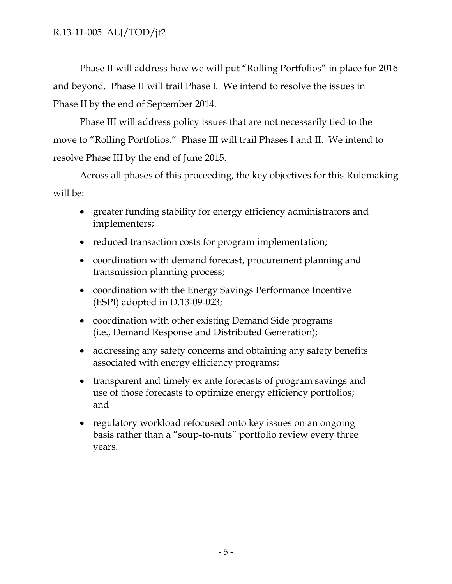Phase II will address how we will put "Rolling Portfolios" in place for 2016 and beyond. Phase II will trail Phase I. We intend to resolve the issues in Phase II by the end of September 2014.

Phase III will address policy issues that are not necessarily tied to the move to "Rolling Portfolios." Phase III will trail Phases I and II. We intend to resolve Phase III by the end of June 2015.

Across all phases of this proceeding, the key objectives for this Rulemaking will be:

- greater funding stability for energy efficiency administrators and implementers;
- reduced transaction costs for program implementation;
- coordination with demand forecast, procurement planning and transmission planning process;
- coordination with the Energy Savings Performance Incentive (ESPI) adopted in D.13-09-023;
- coordination with other existing Demand Side programs (i.e., Demand Response and Distributed Generation);
- addressing any safety concerns and obtaining any safety benefits associated with energy efficiency programs;
- transparent and timely ex ante forecasts of program savings and use of those forecasts to optimize energy efficiency portfolios; and
- regulatory workload refocused onto key issues on an ongoing basis rather than a "soup-to-nuts" portfolio review every three years.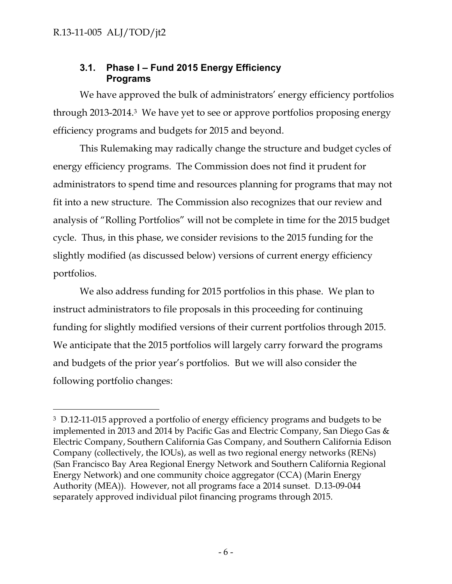## **3.1. Phase I – Fund 2015 Energy Efficiency Programs**

We have approved the bulk of administrators' energy efficiency portfolios through 2013-2014.3 We have yet to see or approve portfolios proposing energy efficiency programs and budgets for 2015 and beyond.

This Rulemaking may radically change the structure and budget cycles of energy efficiency programs. The Commission does not find it prudent for administrators to spend time and resources planning for programs that may not fit into a new structure. The Commission also recognizes that our review and analysis of "Rolling Portfolios" will not be complete in time for the 2015 budget cycle. Thus, in this phase, we consider revisions to the 2015 funding for the slightly modified (as discussed below) versions of current energy efficiency portfolios.

We also address funding for 2015 portfolios in this phase. We plan to instruct administrators to file proposals in this proceeding for continuing funding for slightly modified versions of their current portfolios through 2015. We anticipate that the 2015 portfolios will largely carry forward the programs and budgets of the prior year's portfolios. But we will also consider the following portfolio changes:

<sup>&</sup>lt;sup>3</sup> D.12-11-015 approved a portfolio of energy efficiency programs and budgets to be implemented in 2013 and 2014 by Pacific Gas and Electric Company, San Diego Gas & Electric Company, Southern California Gas Company, and Southern California Edison Company (collectively, the IOUs), as well as two regional energy networks (RENs) (San Francisco Bay Area Regional Energy Network and Southern California Regional Energy Network) and one community choice aggregator (CCA) (Marin Energy Authority (MEA)). However, not all programs face a 2014 sunset. D.13-09-044 separately approved individual pilot financing programs through 2015.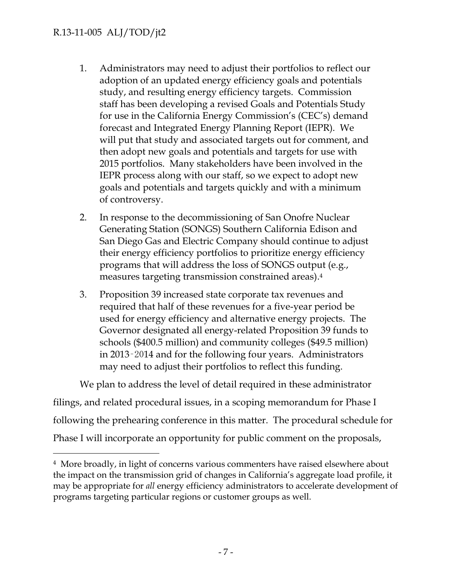- 1. Administrators may need to adjust their portfolios to reflect our adoption of an updated energy efficiency goals and potentials study, and resulting energy efficiency targets. Commission staff has been developing a revised Goals and Potentials Study for use in the California Energy Commission's (CEC's) demand forecast and Integrated Energy Planning Report (IEPR). We will put that study and associated targets out for comment, and then adopt new goals and potentials and targets for use with 2015 portfolios. Many stakeholders have been involved in the IEPR process along with our staff, so we expect to adopt new goals and potentials and targets quickly and with a minimum of controversy.
- 2. In response to the decommissioning of San Onofre Nuclear Generating Station (SONGS) Southern California Edison and San Diego Gas and Electric Company should continue to adjust their energy efficiency portfolios to prioritize energy efficiency programs that will address the loss of SONGS output (e.g., measures targeting transmission constrained areas).4
- 3. Proposition 39 increased state corporate tax revenues and required that half of these revenues for a five-year period be used for energy efficiency and alternative energy projects. The Governor designated all energy-related Proposition 39 funds to schools (\$400.5 million) and community colleges (\$49.5 million) in 2013‑2014 and for the following four years. Administrators may need to adjust their portfolios to reflect this funding.

We plan to address the level of detail required in these administrator

filings, and related procedural issues, in a scoping memorandum for Phase I following the prehearing conference in this matter. The procedural schedule for Phase I will incorporate an opportunity for public comment on the proposals,

 <sup>4</sup> More broadly, in light of concerns various commenters have raised elsewhere about the impact on the transmission grid of changes in California's aggregate load profile, it may be appropriate for *all* energy efficiency administrators to accelerate development of programs targeting particular regions or customer groups as well.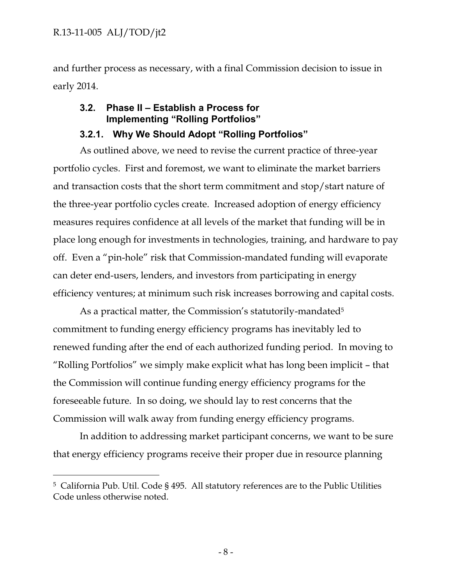and further process as necessary, with a final Commission decision to issue in early 2014.

## **3.2. Phase II – Establish a Process for Implementing "Rolling Portfolios"**

## **3.2.1. Why We Should Adopt "Rolling Portfolios"**

As outlined above, we need to revise the current practice of three-year portfolio cycles. First and foremost, we want to eliminate the market barriers and transaction costs that the short term commitment and stop/start nature of the three-year portfolio cycles create. Increased adoption of energy efficiency measures requires confidence at all levels of the market that funding will be in place long enough for investments in technologies, training, and hardware to pay off. Even a "pin-hole" risk that Commission-mandated funding will evaporate can deter end-users, lenders, and investors from participating in energy efficiency ventures; at minimum such risk increases borrowing and capital costs.

As a practical matter, the Commission's statutorily-mandated<sup>5</sup> commitment to funding energy efficiency programs has inevitably led to renewed funding after the end of each authorized funding period. In moving to "Rolling Portfolios" we simply make explicit what has long been implicit – that the Commission will continue funding energy efficiency programs for the foreseeable future. In so doing, we should lay to rest concerns that the Commission will walk away from funding energy efficiency programs.

In addition to addressing market participant concerns, we want to be sure that energy efficiency programs receive their proper due in resource planning

 <sup>5</sup> California Pub. Util. Code § 495. All statutory references are to the Public Utilities Code unless otherwise noted.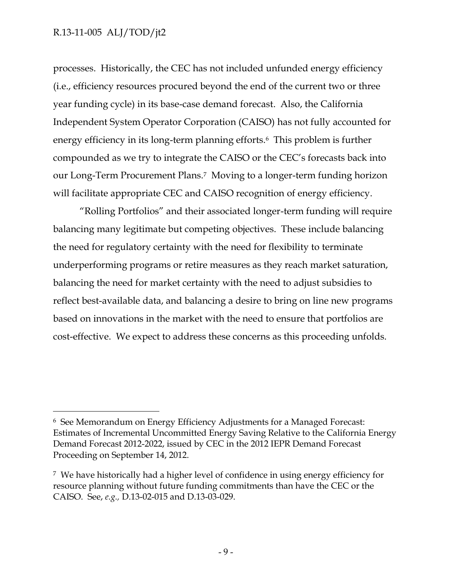processes. Historically, the CEC has not included unfunded energy efficiency (i.e., efficiency resources procured beyond the end of the current two or three year funding cycle) in its base-case demand forecast. Also, the California Independent System Operator Corporation (CAISO) has not fully accounted for energy efficiency in its long-term planning efforts.6 This problem is further compounded as we try to integrate the CAISO or the CEC's forecasts back into our Long-Term Procurement Plans.7 Moving to a longer-term funding horizon will facilitate appropriate CEC and CAISO recognition of energy efficiency.

"Rolling Portfolios" and their associated longer-term funding will require balancing many legitimate but competing objectives. These include balancing the need for regulatory certainty with the need for flexibility to terminate underperforming programs or retire measures as they reach market saturation, balancing the need for market certainty with the need to adjust subsidies to reflect best-available data, and balancing a desire to bring on line new programs based on innovations in the market with the need to ensure that portfolios are cost-effective. We expect to address these concerns as this proceeding unfolds.

 <sup>6</sup> See Memorandum on Energy Efficiency Adjustments for a Managed Forecast: Estimates of Incremental Uncommitted Energy Saving Relative to the California Energy Demand Forecast 2012-2022, issued by CEC in the 2012 IEPR Demand Forecast Proceeding on September 14, 2012.

<sup>7</sup> We have historically had a higher level of confidence in using energy efficiency for resource planning without future funding commitments than have the CEC or the CAISO. See, *e.g.,* D.13-02-015 and D.13-03-029.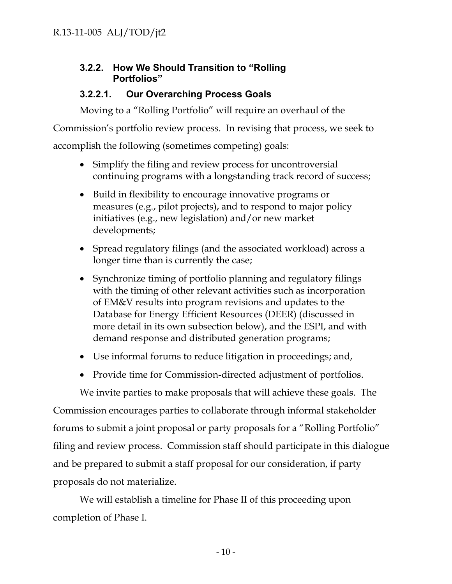## **3.2.2. How We Should Transition to "Rolling Portfolios"**

## **3.2.2.1. Our Overarching Process Goals**

Moving to a "Rolling Portfolio" will require an overhaul of the

Commission's portfolio review process. In revising that process, we seek to

accomplish the following (sometimes competing) goals:

- Simplify the filing and review process for uncontroversial continuing programs with a longstanding track record of success;
- Build in flexibility to encourage innovative programs or measures (e.g., pilot projects), and to respond to major policy initiatives (e.g., new legislation) and/or new market developments;
- Spread regulatory filings (and the associated workload) across a longer time than is currently the case;
- Synchronize timing of portfolio planning and regulatory filings with the timing of other relevant activities such as incorporation of EM&V results into program revisions and updates to the Database for Energy Efficient Resources (DEER) (discussed in more detail in its own subsection below), and the ESPI, and with demand response and distributed generation programs;
- Use informal forums to reduce litigation in proceedings; and,
- Provide time for Commission-directed adjustment of portfolios.

We invite parties to make proposals that will achieve these goals. The Commission encourages parties to collaborate through informal stakeholder forums to submit a joint proposal or party proposals for a "Rolling Portfolio" filing and review process. Commission staff should participate in this dialogue and be prepared to submit a staff proposal for our consideration, if party proposals do not materialize.

We will establish a timeline for Phase II of this proceeding upon completion of Phase I.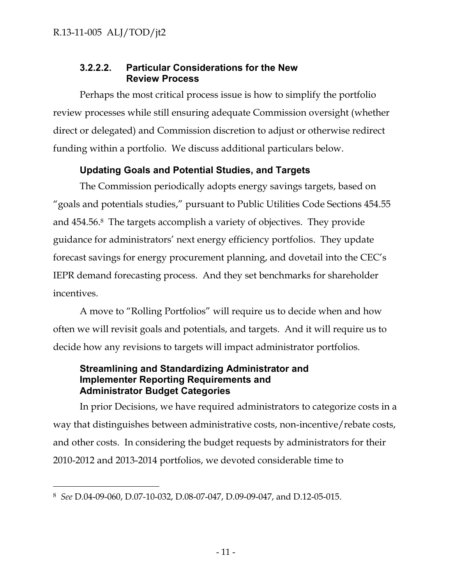## **3.2.2.2. Particular Considerations for the New Review Process**

Perhaps the most critical process issue is how to simplify the portfolio review processes while still ensuring adequate Commission oversight (whether direct or delegated) and Commission discretion to adjust or otherwise redirect funding within a portfolio. We discuss additional particulars below.

## **Updating Goals and Potential Studies, and Targets**

The Commission periodically adopts energy savings targets, based on "goals and potentials studies," pursuant to Public Utilities Code Sections 454.55 and 454.56.8 The targets accomplish a variety of objectives. They provide guidance for administrators' next energy efficiency portfolios. They update forecast savings for energy procurement planning, and dovetail into the CEC's IEPR demand forecasting process. And they set benchmarks for shareholder incentives.

A move to "Rolling Portfolios" will require us to decide when and how often we will revisit goals and potentials, and targets. And it will require us to decide how any revisions to targets will impact administrator portfolios.

### **Streamlining and Standardizing Administrator and Implementer Reporting Requirements and Administrator Budget Categories**

In prior Decisions, we have required administrators to categorize costs in a way that distinguishes between administrative costs, non-incentive/rebate costs, and other costs. In considering the budget requests by administrators for their 2010-2012 and 2013-2014 portfolios, we devoted considerable time to

 <sup>8</sup> *See* D.04-09-060, D.07-10-032, D.08-07-047, D.09-09-047, and D.12-05-015.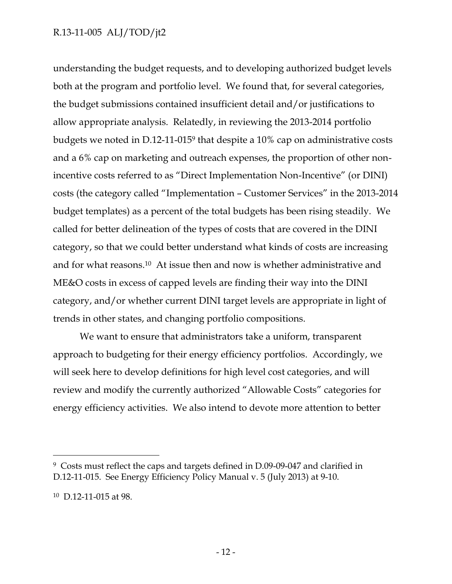understanding the budget requests, and to developing authorized budget levels both at the program and portfolio level. We found that, for several categories, the budget submissions contained insufficient detail and/or justifications to allow appropriate analysis. Relatedly, in reviewing the 2013-2014 portfolio budgets we noted in D.12-11-0159 that despite a 10% cap on administrative costs and a 6% cap on marketing and outreach expenses, the proportion of other nonincentive costs referred to as "Direct Implementation Non-Incentive" (or DINI) costs (the category called "Implementation – Customer Services" in the 2013-2014 budget templates) as a percent of the total budgets has been rising steadily. We called for better delineation of the types of costs that are covered in the DINI category, so that we could better understand what kinds of costs are increasing and for what reasons.10 At issue then and now is whether administrative and ME&O costs in excess of capped levels are finding their way into the DINI category, and/or whether current DINI target levels are appropriate in light of trends in other states, and changing portfolio compositions.

We want to ensure that administrators take a uniform, transparent approach to budgeting for their energy efficiency portfolios. Accordingly, we will seek here to develop definitions for high level cost categories, and will review and modify the currently authorized "Allowable Costs" categories for energy efficiency activities. We also intend to devote more attention to better

 <sup>9</sup> Costs must reflect the caps and targets defined in D.09-09-047 and clarified in D.12-11-015. See Energy Efficiency Policy Manual v. 5 (July 2013) at 9-10.

<sup>10</sup> D.12-11-015 at 98.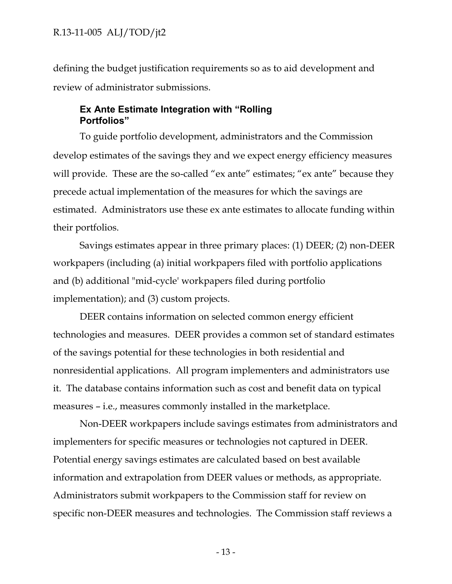defining the budget justification requirements so as to aid development and review of administrator submissions.

#### **Ex Ante Estimate Integration with "Rolling Portfolios"**

To guide portfolio development, administrators and the Commission develop estimates of the savings they and we expect energy efficiency measures will provide. These are the so-called "ex ante" estimates; "ex ante" because they precede actual implementation of the measures for which the savings are estimated. Administrators use these ex ante estimates to allocate funding within their portfolios.

Savings estimates appear in three primary places: (1) DEER; (2) non-DEER workpapers (including (a) initial workpapers filed with portfolio applications and (b) additional "mid-cycle' workpapers filed during portfolio implementation); and (3) custom projects.

DEER contains information on selected common energy efficient technologies and measures. DEER provides a common set of standard estimates of the savings potential for these technologies in both residential and nonresidential applications. All program implementers and administrators use it. The database contains information such as cost and benefit data on typical measures – i.e., measures commonly installed in the marketplace.

Non-DEER workpapers include savings estimates from administrators and implementers for specific measures or technologies not captured in DEER. Potential energy savings estimates are calculated based on best available information and extrapolation from DEER values or methods, as appropriate. Administrators submit workpapers to the Commission staff for review on specific non-DEER measures and technologies. The Commission staff reviews a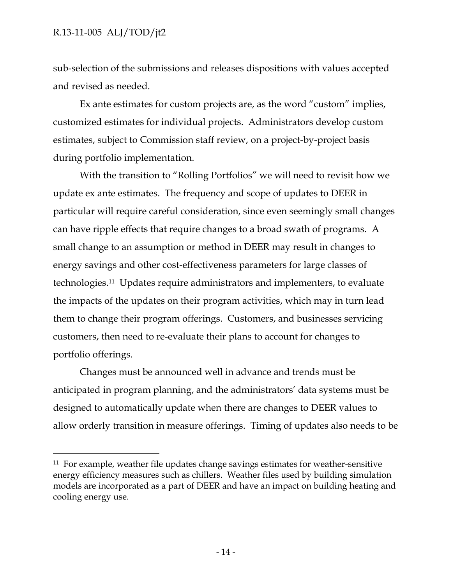sub-selection of the submissions and releases dispositions with values accepted and revised as needed.

Ex ante estimates for custom projects are, as the word "custom" implies, customized estimates for individual projects. Administrators develop custom estimates, subject to Commission staff review, on a project-by-project basis during portfolio implementation.

With the transition to "Rolling Portfolios" we will need to revisit how we update ex ante estimates. The frequency and scope of updates to DEER in particular will require careful consideration, since even seemingly small changes can have ripple effects that require changes to a broad swath of programs. A small change to an assumption or method in DEER may result in changes to energy savings and other cost-effectiveness parameters for large classes of technologies.11 Updates require administrators and implementers, to evaluate the impacts of the updates on their program activities, which may in turn lead them to change their program offerings. Customers, and businesses servicing customers, then need to re-evaluate their plans to account for changes to portfolio offerings.

Changes must be announced well in advance and trends must be anticipated in program planning, and the administrators' data systems must be designed to automatically update when there are changes to DEER values to allow orderly transition in measure offerings. Timing of updates also needs to be

 <sup>11</sup> For example, weather file updates change savings estimates for weather-sensitive energy efficiency measures such as chillers. Weather files used by building simulation models are incorporated as a part of DEER and have an impact on building heating and cooling energy use.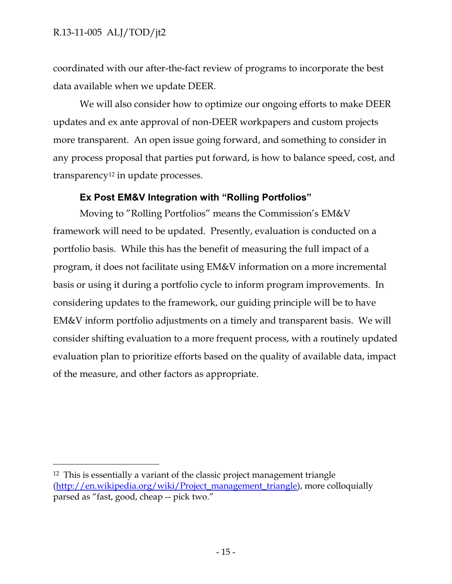coordinated with our after-the-fact review of programs to incorporate the best data available when we update DEER.

We will also consider how to optimize our ongoing efforts to make DEER updates and ex ante approval of non-DEER workpapers and custom projects more transparent. An open issue going forward, and something to consider in any process proposal that parties put forward, is how to balance speed, cost, and transparency12 in update processes.

#### **Ex Post EM&V Integration with "Rolling Portfolios"**

Moving to "Rolling Portfolios" means the Commission's EM&V framework will need to be updated. Presently, evaluation is conducted on a portfolio basis. While this has the benefit of measuring the full impact of a program, it does not facilitate using EM&V information on a more incremental basis or using it during a portfolio cycle to inform program improvements. In considering updates to the framework, our guiding principle will be to have EM&V inform portfolio adjustments on a timely and transparent basis. We will consider shifting evaluation to a more frequent process, with a routinely updated evaluation plan to prioritize efforts based on the quality of available data, impact of the measure, and other factors as appropriate.

 <sup>12</sup> This is essentially a variant of the classic project management triangle (http://en.wikipedia.org/wiki/Project\_management\_triangle), more colloquially parsed as "fast, good, cheap -- pick two."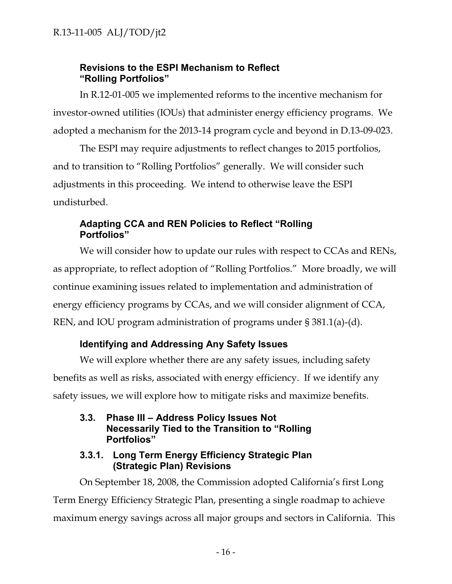## **Revisions to the ESPI Mechanism to Reflect "Rolling Portfolios"**

In R.12-01-005 we implemented reforms to the incentive mechanism for investor-owned utilities (IOUs) that administer energy efficiency programs. We adopted a mechanism for the 2013-14 program cycle and beyond in D.13-09-023.

The ESPI may require adjustments to reflect changes to 2015 portfolios, and to transition to "Rolling Portfolios" generally. We will consider such adjustments in this proceeding. We intend to otherwise leave the ESPI undisturbed.

## **Adapting CCA and REN Policies to Reflect "Rolling Portfolios"**

We will consider how to update our rules with respect to CCAs and RENs, as appropriate, to reflect adoption of "Rolling Portfolios." More broadly, we will continue examining issues related to implementation and administration of energy efficiency programs by CCAs, and we will consider alignment of CCA, REN, and IOU program administration of programs under § 381.1(a)-(d).

## **Identifying and Addressing Any Safety Issues**

We will explore whether there are any safety issues, including safety benefits as well as risks, associated with energy efficiency. If we identify any safety issues, we will explore how to mitigate risks and maximize benefits.

**3.3. Phase III – Address Policy Issues Not Necessarily Tied to the Transition to "Rolling Portfolios"**

## **3.3.1. Long Term Energy Efficiency Strategic Plan (Strategic Plan) Revisions**

On September 18, 2008, the Commission adopted California's first Long Term Energy Efficiency Strategic Plan, presenting a single roadmap to achieve maximum energy savings across all major groups and sectors in California. This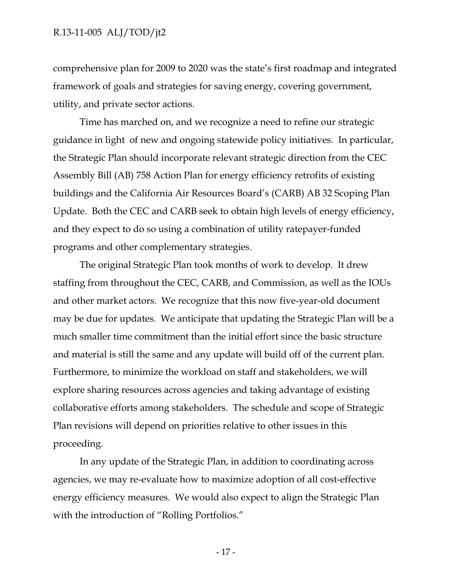comprehensive plan for 2009 to 2020 was the state's first roadmap and integrated framework of goals and strategies for saving energy, covering government, utility, and private sector actions.

Time has marched on, and we recognize a need to refine our strategic guidance in light of new and ongoing statewide policy initiatives. In particular, the Strategic Plan should incorporate relevant strategic direction from the CEC Assembly Bill (AB) 758 Action Plan for energy efficiency retrofits of existing buildings and the California Air Resources Board's (CARB) AB 32 Scoping Plan Update. Both the CEC and CARB seek to obtain high levels of energy efficiency, and they expect to do so using a combination of utility ratepayer-funded programs and other complementary strategies.

The original Strategic Plan took months of work to develop. It drew staffing from throughout the CEC, CARB, and Commission, as well as the IOUs and other market actors. We recognize that this now five-year-old document may be due for updates. We anticipate that updating the Strategic Plan will be a much smaller time commitment than the initial effort since the basic structure and material is still the same and any update will build off of the current plan. Furthermore, to minimize the workload on staff and stakeholders, we will explore sharing resources across agencies and taking advantage of existing collaborative efforts among stakeholders. The schedule and scope of Strategic Plan revisions will depend on priorities relative to other issues in this proceeding.

In any update of the Strategic Plan, in addition to coordinating across agencies, we may re-evaluate how to maximize adoption of all cost-effective energy efficiency measures. We would also expect to align the Strategic Plan with the introduction of "Rolling Portfolios."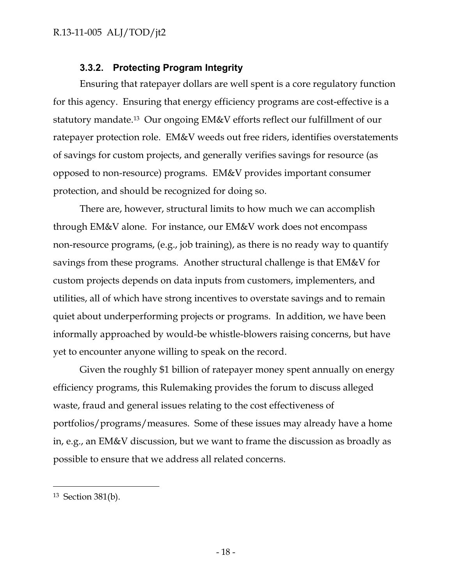## **3.3.2. Protecting Program Integrity**

Ensuring that ratepayer dollars are well spent is a core regulatory function for this agency. Ensuring that energy efficiency programs are cost-effective is a statutory mandate.13 Our ongoing EM&V efforts reflect our fulfillment of our ratepayer protection role. EM&V weeds out free riders, identifies overstatements of savings for custom projects, and generally verifies savings for resource (as opposed to non-resource) programs. EM&V provides important consumer protection, and should be recognized for doing so.

There are, however, structural limits to how much we can accomplish through EM&V alone. For instance, our EM&V work does not encompass non-resource programs, (e.g., job training), as there is no ready way to quantify savings from these programs. Another structural challenge is that EM&V for custom projects depends on data inputs from customers, implementers, and utilities, all of which have strong incentives to overstate savings and to remain quiet about underperforming projects or programs. In addition, we have been informally approached by would-be whistle-blowers raising concerns, but have yet to encounter anyone willing to speak on the record.

Given the roughly \$1 billion of ratepayer money spent annually on energy efficiency programs, this Rulemaking provides the forum to discuss alleged waste, fraud and general issues relating to the cost effectiveness of portfolios/programs/measures. Some of these issues may already have a home in, e.g., an EM&V discussion, but we want to frame the discussion as broadly as possible to ensure that we address all related concerns.

 <sup>13</sup> Section 381(b).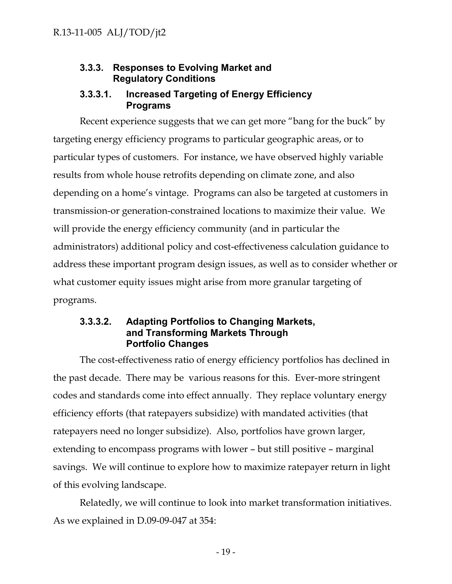## **3.3.3. Responses to Evolving Market and Regulatory Conditions**

### **3.3.3.1. Increased Targeting of Energy Efficiency Programs**

Recent experience suggests that we can get more "bang for the buck" by targeting energy efficiency programs to particular geographic areas, or to particular types of customers. For instance, we have observed highly variable results from whole house retrofits depending on climate zone, and also depending on a home's vintage. Programs can also be targeted at customers in transmission-or generation-constrained locations to maximize their value. We will provide the energy efficiency community (and in particular the administrators) additional policy and cost-effectiveness calculation guidance to address these important program design issues, as well as to consider whether or what customer equity issues might arise from more granular targeting of programs.

### **3.3.3.2. Adapting Portfolios to Changing Markets, and Transforming Markets Through Portfolio Changes**

The cost-effectiveness ratio of energy efficiency portfolios has declined in the past decade. There may be various reasons for this. Ever-more stringent codes and standards come into effect annually. They replace voluntary energy efficiency efforts (that ratepayers subsidize) with mandated activities (that ratepayers need no longer subsidize). Also, portfolios have grown larger, extending to encompass programs with lower – but still positive – marginal savings. We will continue to explore how to maximize ratepayer return in light of this evolving landscape.

Relatedly, we will continue to look into market transformation initiatives. As we explained in D.09-09-047 at 354: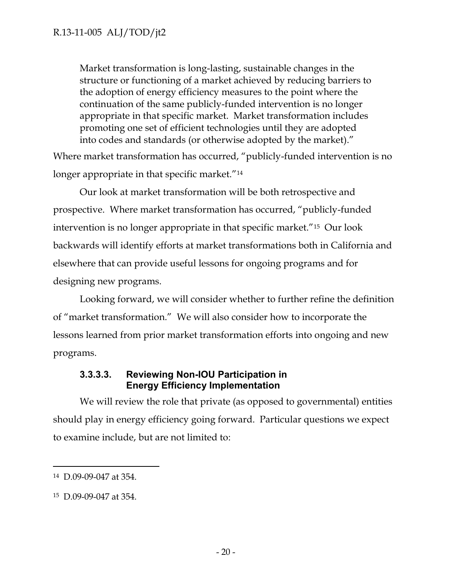Market transformation is long-lasting, sustainable changes in the structure or functioning of a market achieved by reducing barriers to the adoption of energy efficiency measures to the point where the continuation of the same publicly-funded intervention is no longer appropriate in that specific market. Market transformation includes promoting one set of efficient technologies until they are adopted into codes and standards (or otherwise adopted by the market)."

Where market transformation has occurred, "publicly-funded intervention is no longer appropriate in that specific market."14

Our look at market transformation will be both retrospective and prospective. Where market transformation has occurred, "publicly-funded intervention is no longer appropriate in that specific market."15 Our look backwards will identify efforts at market transformations both in California and elsewhere that can provide useful lessons for ongoing programs and for designing new programs.

Looking forward, we will consider whether to further refine the definition of "market transformation." We will also consider how to incorporate the lessons learned from prior market transformation efforts into ongoing and new programs.

## **3.3.3.3. Reviewing Non-IOU Participation in Energy Efficiency Implementation**

We will review the role that private (as opposed to governmental) entities should play in energy efficiency going forward. Particular questions we expect to examine include, but are not limited to:

 <sup>14</sup> D.09-09-047 at 354.

<sup>15</sup> D.09-09-047 at 354.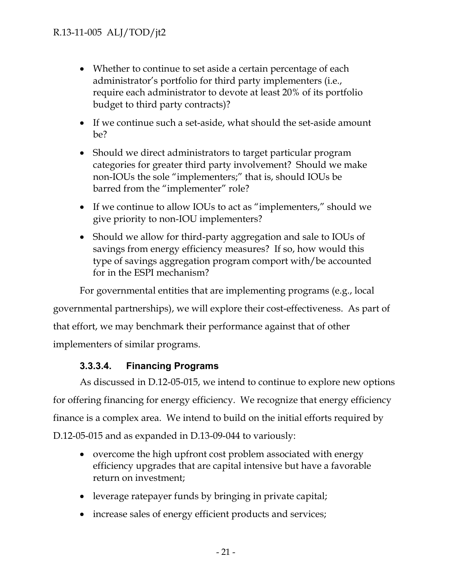- Whether to continue to set aside a certain percentage of each administrator's portfolio for third party implementers (i.e., require each administrator to devote at least 20% of its portfolio budget to third party contracts)?
- If we continue such a set-aside, what should the set-aside amount be?
- Should we direct administrators to target particular program categories for greater third party involvement? Should we make non-IOUs the sole "implementers;" that is, should IOUs be barred from the "implementer" role?
- If we continue to allow IOUs to act as "implementers," should we give priority to non-IOU implementers?
- Should we allow for third-party aggregation and sale to IOUs of savings from energy efficiency measures? If so, how would this type of savings aggregation program comport with/be accounted for in the ESPI mechanism?

For governmental entities that are implementing programs (e.g., local governmental partnerships), we will explore their cost-effectiveness. As part of that effort, we may benchmark their performance against that of other implementers of similar programs.

## **3.3.3.4. Financing Programs**

As discussed in D.12-05-015, we intend to continue to explore new options for offering financing for energy efficiency. We recognize that energy efficiency finance is a complex area. We intend to build on the initial efforts required by D.12-05-015 and as expanded in D.13-09-044 to variously:

- overcome the high upfront cost problem associated with energy efficiency upgrades that are capital intensive but have a favorable return on investment;
- leverage ratepayer funds by bringing in private capital;
- increase sales of energy efficient products and services;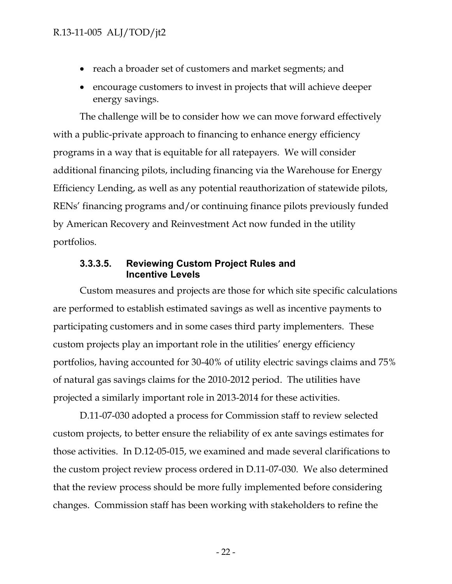- reach a broader set of customers and market segments; and
- encourage customers to invest in projects that will achieve deeper energy savings.

The challenge will be to consider how we can move forward effectively with a public-private approach to financing to enhance energy efficiency programs in a way that is equitable for all ratepayers. We will consider additional financing pilots, including financing via the Warehouse for Energy Efficiency Lending, as well as any potential reauthorization of statewide pilots, RENs' financing programs and/or continuing finance pilots previously funded by American Recovery and Reinvestment Act now funded in the utility portfolios.

#### **3.3.3.5. Reviewing Custom Project Rules and Incentive Levels**

Custom measures and projects are those for which site specific calculations are performed to establish estimated savings as well as incentive payments to participating customers and in some cases third party implementers. These custom projects play an important role in the utilities' energy efficiency portfolios, having accounted for 30-40% of utility electric savings claims and 75% of natural gas savings claims for the 2010-2012 period. The utilities have projected a similarly important role in 2013-2014 for these activities.

D.11-07-030 adopted a process for Commission staff to review selected custom projects, to better ensure the reliability of ex ante savings estimates for those activities. In D.12-05-015, we examined and made several clarifications to the custom project review process ordered in D.11-07-030. We also determined that the review process should be more fully implemented before considering changes. Commission staff has been working with stakeholders to refine the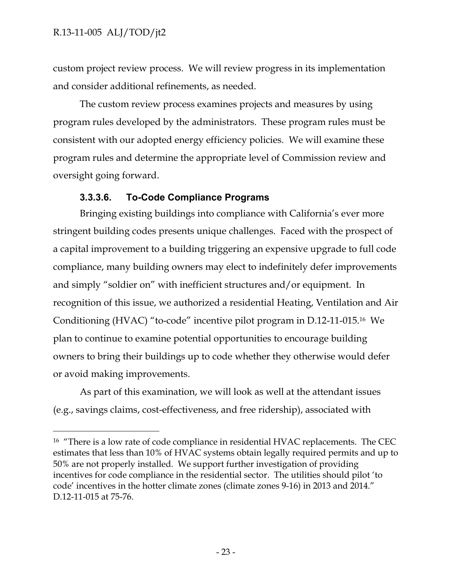custom project review process. We will review progress in its implementation and consider additional refinements, as needed.

The custom review process examines projects and measures by using program rules developed by the administrators. These program rules must be consistent with our adopted energy efficiency policies. We will examine these program rules and determine the appropriate level of Commission review and oversight going forward.

## **3.3.3.6. To-Code Compliance Programs**

Bringing existing buildings into compliance with California's ever more stringent building codes presents unique challenges. Faced with the prospect of a capital improvement to a building triggering an expensive upgrade to full code compliance, many building owners may elect to indefinitely defer improvements and simply "soldier on" with inefficient structures and/or equipment. In recognition of this issue, we authorized a residential Heating, Ventilation and Air Conditioning (HVAC) "to-code" incentive pilot program in D.12-11-015.16 We plan to continue to examine potential opportunities to encourage building owners to bring their buildings up to code whether they otherwise would defer or avoid making improvements.

As part of this examination, we will look as well at the attendant issues (e.g., savings claims, cost-effectiveness, and free ridership), associated with

<sup>&</sup>lt;sup>16</sup> "There is a low rate of code compliance in residential HVAC replacements. The CEC estimates that less than 10% of HVAC systems obtain legally required permits and up to 50% are not properly installed. We support further investigation of providing incentives for code compliance in the residential sector. The utilities should pilot 'to code' incentives in the hotter climate zones (climate zones 9-16) in 2013 and 2014." D.12-11-015 at 75-76.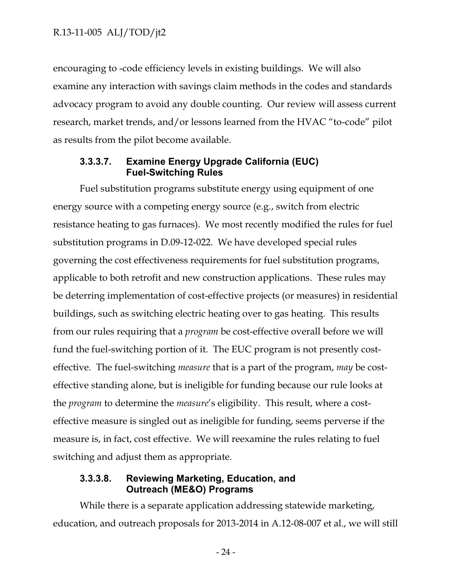encouraging to -code efficiency levels in existing buildings. We will also examine any interaction with savings claim methods in the codes and standards advocacy program to avoid any double counting. Our review will assess current research, market trends, and/or lessons learned from the HVAC "to-code" pilot as results from the pilot become available.

#### **3.3.3.7. Examine Energy Upgrade California (EUC) Fuel-Switching Rules**

Fuel substitution programs substitute energy using equipment of one energy source with a competing energy source (e.g., switch from electric resistance heating to gas furnaces). We most recently modified the rules for fuel substitution programs in D.09-12-022. We have developed special rules governing the cost effectiveness requirements for fuel substitution programs, applicable to both retrofit and new construction applications. These rules may be deterring implementation of cost-effective projects (or measures) in residential buildings, such as switching electric heating over to gas heating. This results from our rules requiring that a *program* be cost-effective overall before we will fund the fuel-switching portion of it. The EUC program is not presently costeffective. The fuel-switching *measure* that is a part of the program, *may* be costeffective standing alone, but is ineligible for funding because our rule looks at the *program* to determine the *measure*'s eligibility. This result, where a costeffective measure is singled out as ineligible for funding, seems perverse if the measure is, in fact, cost effective. We will reexamine the rules relating to fuel switching and adjust them as appropriate.

#### **3.3.3.8. Reviewing Marketing, Education, and Outreach (ME&O) Programs**

While there is a separate application addressing statewide marketing, education, and outreach proposals for 2013-2014 in A.12-08-007 et al., we will still

- 24 -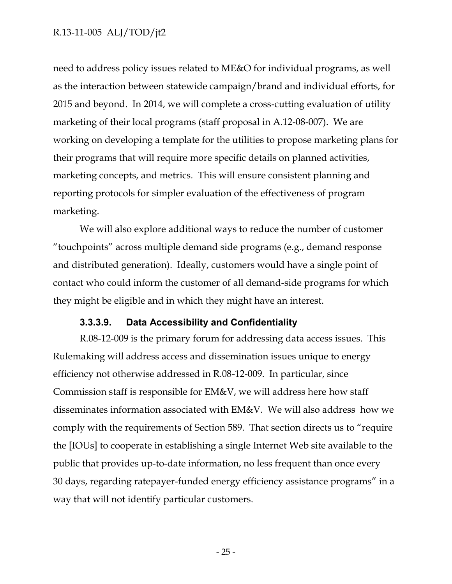need to address policy issues related to ME&O for individual programs, as well as the interaction between statewide campaign/brand and individual efforts, for 2015 and beyond. In 2014, we will complete a cross-cutting evaluation of utility marketing of their local programs (staff proposal in A.12-08-007). We are working on developing a template for the utilities to propose marketing plans for their programs that will require more specific details on planned activities, marketing concepts, and metrics. This will ensure consistent planning and reporting protocols for simpler evaluation of the effectiveness of program marketing.

We will also explore additional ways to reduce the number of customer "touchpoints" across multiple demand side programs (e.g., demand response and distributed generation). Ideally, customers would have a single point of contact who could inform the customer of all demand-side programs for which they might be eligible and in which they might have an interest.

#### **3.3.3.9. Data Accessibility and Confidentiality**

R.08-12-009 is the primary forum for addressing data access issues. This Rulemaking will address access and dissemination issues unique to energy efficiency not otherwise addressed in R.08-12-009. In particular, since Commission staff is responsible for EM&V, we will address here how staff disseminates information associated with EM&V. We will also address how we comply with the requirements of Section 589. That section directs us to "require the [IOUs] to cooperate in establishing a single Internet Web site available to the public that provides up-to-date information, no less frequent than once every 30 days, regarding ratepayer-funded energy efficiency assistance programs" in a way that will not identify particular customers.

- 25 -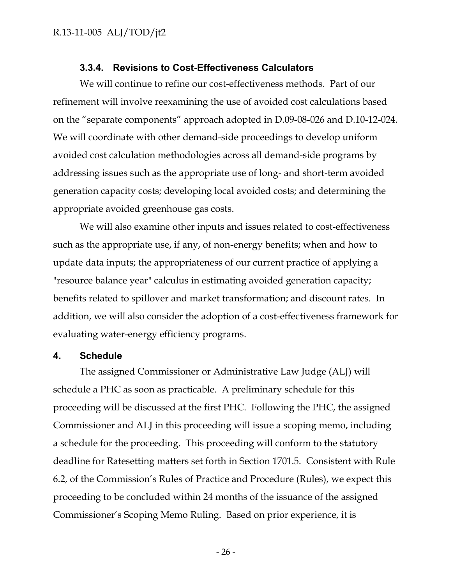#### **3.3.4. Revisions to Cost-Effectiveness Calculators**

We will continue to refine our cost-effectiveness methods. Part of our refinement will involve reexamining the use of avoided cost calculations based on the "separate components" approach adopted in D.09-08-026 and D.10-12-024. We will coordinate with other demand-side proceedings to develop uniform avoided cost calculation methodologies across all demand-side programs by addressing issues such as the appropriate use of long- and short-term avoided generation capacity costs; developing local avoided costs; and determining the appropriate avoided greenhouse gas costs.

We will also examine other inputs and issues related to cost-effectiveness such as the appropriate use, if any, of non-energy benefits; when and how to update data inputs; the appropriateness of our current practice of applying a "resource balance year" calculus in estimating avoided generation capacity; benefits related to spillover and market transformation; and discount rates. In addition, we will also consider the adoption of a cost-effectiveness framework for evaluating water-energy efficiency programs.

#### **4. Schedule**

The assigned Commissioner or Administrative Law Judge (ALJ) will schedule a PHC as soon as practicable. A preliminary schedule for this proceeding will be discussed at the first PHC. Following the PHC, the assigned Commissioner and ALJ in this proceeding will issue a scoping memo, including a schedule for the proceeding. This proceeding will conform to the statutory deadline for Ratesetting matters set forth in Section 1701.5. Consistent with Rule 6.2, of the Commission's Rules of Practice and Procedure (Rules), we expect this proceeding to be concluded within 24 months of the issuance of the assigned Commissioner's Scoping Memo Ruling. Based on prior experience, it is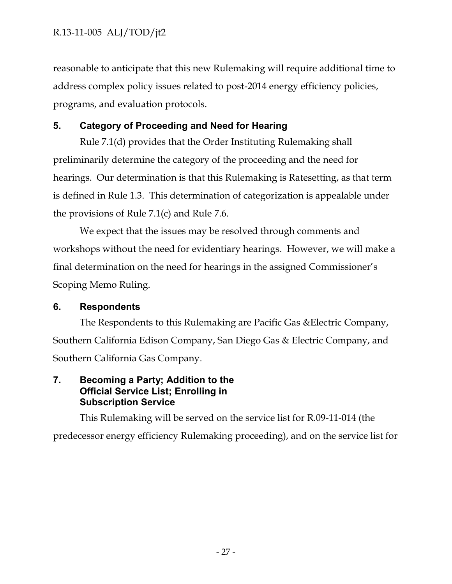reasonable to anticipate that this new Rulemaking will require additional time to address complex policy issues related to post-2014 energy efficiency policies, programs, and evaluation protocols.

## **5. Category of Proceeding and Need for Hearing**

Rule 7.1(d) provides that the Order Instituting Rulemaking shall preliminarily determine the category of the proceeding and the need for hearings. Our determination is that this Rulemaking is Ratesetting, as that term is defined in Rule 1.3. This determination of categorization is appealable under the provisions of Rule 7.1(c) and Rule 7.6.

We expect that the issues may be resolved through comments and workshops without the need for evidentiary hearings. However, we will make a final determination on the need for hearings in the assigned Commissioner's Scoping Memo Ruling.

## **6. Respondents**

The Respondents to this Rulemaking are Pacific Gas &Electric Company, Southern California Edison Company, San Diego Gas & Electric Company, and Southern California Gas Company.

## **7. Becoming a Party; Addition to the Official Service List; Enrolling in Subscription Service**

This Rulemaking will be served on the service list for R.09-11-014 (the predecessor energy efficiency Rulemaking proceeding), and on the service list for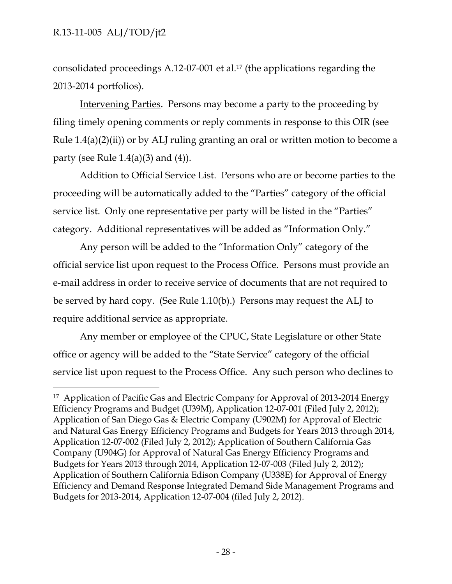consolidated proceedings A.12-07-001 et al.17 (the applications regarding the 2013-2014 portfolios).

Intervening Parties. Persons may become a party to the proceeding by filing timely opening comments or reply comments in response to this OIR (see Rule  $1.4(a)(2)(ii)$  or by ALJ ruling granting an oral or written motion to become a party (see Rule  $1.4(a)(3)$  and  $(4)$ ).

Addition to Official Service List. Persons who are or become parties to the proceeding will be automatically added to the "Parties" category of the official service list. Only one representative per party will be listed in the "Parties" category. Additional representatives will be added as "Information Only."

Any person will be added to the "Information Only" category of the official service list upon request to the Process Office. Persons must provide an e-mail address in order to receive service of documents that are not required to be served by hard copy. (See Rule 1.10(b).) Persons may request the ALJ to require additional service as appropriate.

Any member or employee of the CPUC, State Legislature or other State office or agency will be added to the "State Service" category of the official service list upon request to the Process Office. Any such person who declines to

 <sup>17</sup> Application of Pacific Gas and Electric Company for Approval of 2013-2014 Energy Efficiency Programs and Budget (U39M), Application 12-07-001 (Filed July 2, 2012); Application of San Diego Gas & Electric Company (U902M) for Approval of Electric and Natural Gas Energy Efficiency Programs and Budgets for Years 2013 through 2014, Application 12-07-002 (Filed July 2, 2012); Application of Southern California Gas Company (U904G) for Approval of Natural Gas Energy Efficiency Programs and Budgets for Years 2013 through 2014, Application 12-07-003 (Filed July 2, 2012); Application of Southern California Edison Company (U338E) for Approval of Energy Efficiency and Demand Response Integrated Demand Side Management Programs and Budgets for 2013-2014, Application 12-07-004 (filed July 2, 2012).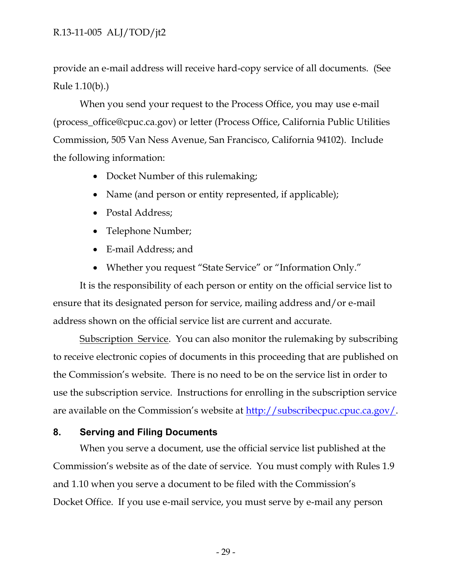provide an e-mail address will receive hard-copy service of all documents. (See Rule 1.10(b).)

When you send your request to the Process Office, you may use e-mail (process\_office@cpuc.ca.gov) or letter (Process Office, California Public Utilities Commission, 505 Van Ness Avenue, San Francisco, California 94102). Include the following information:

- Docket Number of this rulemaking;
- Name (and person or entity represented, if applicable);
- Postal Address;
- Telephone Number;
- E-mail Address: and
- Whether you request "State Service" or "Information Only."

It is the responsibility of each person or entity on the official service list to ensure that its designated person for service, mailing address and/or e-mail address shown on the official service list are current and accurate.

Subscription Service. You can also monitor the rulemaking by subscribing to receive electronic copies of documents in this proceeding that are published on the Commission's website. There is no need to be on the service list in order to use the subscription service. Instructions for enrolling in the subscription service are available on the Commission's website at http://subscribecpuc.cpuc.ca.gov/.

#### **8. Serving and Filing Documents**

When you serve a document, use the official service list published at the Commission's website as of the date of service. You must comply with Rules 1.9 and 1.10 when you serve a document to be filed with the Commission's Docket Office. If you use e-mail service, you must serve by e-mail any person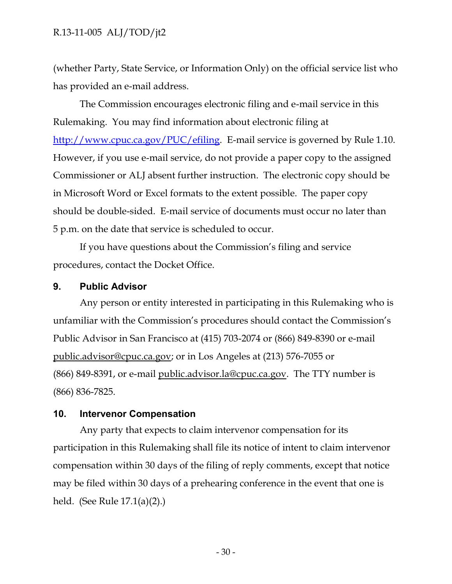(whether Party, State Service, or Information Only) on the official service list who has provided an e-mail address.

The Commission encourages electronic filing and e-mail service in this Rulemaking. You may find information about electronic filing at http://www.cpuc.ca.gov/PUC/efiling. E-mail service is governed by Rule 1.10. However, if you use e-mail service, do not provide a paper copy to the assigned Commissioner or ALJ absent further instruction. The electronic copy should be in Microsoft Word or Excel formats to the extent possible. The paper copy should be double-sided. E-mail service of documents must occur no later than 5 p.m. on the date that service is scheduled to occur.

If you have questions about the Commission's filing and service procedures, contact the Docket Office.

#### **9. Public Advisor**

Any person or entity interested in participating in this Rulemaking who is unfamiliar with the Commission's procedures should contact the Commission's Public Advisor in San Francisco at (415) 703-2074 or (866) 849-8390 or e-mail public.advisor@cpuc.ca.gov; or in Los Angeles at (213) 576-7055 or (866) 849-8391, or e-mail public.advisor.la@cpuc.ca.gov. The TTY number is (866) 836-7825.

#### **10. Intervenor Compensation**

Any party that expects to claim intervenor compensation for its participation in this Rulemaking shall file its notice of intent to claim intervenor compensation within 30 days of the filing of reply comments, except that notice may be filed within 30 days of a prehearing conference in the event that one is held. (See Rule 17.1(a)(2).)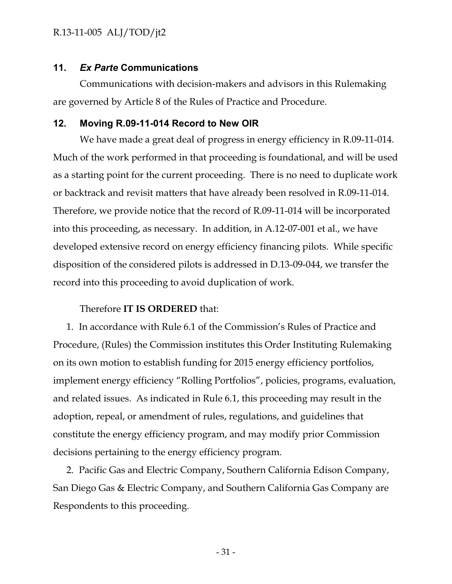#### **11.** *Ex Parte* **Communications**

Communications with decision-makers and advisors in this Rulemaking are governed by Article 8 of the Rules of Practice and Procedure.

#### **12. Moving R.09-11-014 Record to New OIR**

We have made a great deal of progress in energy efficiency in R.09-11-014. Much of the work performed in that proceeding is foundational, and will be used as a starting point for the current proceeding. There is no need to duplicate work or backtrack and revisit matters that have already been resolved in R.09-11-014. Therefore, we provide notice that the record of R.09-11-014 will be incorporated into this proceeding, as necessary. In addition, in A.12-07-001 et al., we have developed extensive record on energy efficiency financing pilots. While specific disposition of the considered pilots is addressed in D.13-09-044, we transfer the record into this proceeding to avoid duplication of work.

#### Therefore **IT IS ORDERED** that:

1. In accordance with Rule 6.1 of the Commission's Rules of Practice and Procedure, (Rules) the Commission institutes this Order Instituting Rulemaking on its own motion to establish funding for 2015 energy efficiency portfolios, implement energy efficiency "Rolling Portfolios", policies, programs, evaluation, and related issues. As indicated in Rule 6.1, this proceeding may result in the adoption, repeal, or amendment of rules, regulations, and guidelines that constitute the energy efficiency program, and may modify prior Commission decisions pertaining to the energy efficiency program.

2. Pacific Gas and Electric Company, Southern California Edison Company, San Diego Gas & Electric Company, and Southern California Gas Company are Respondents to this proceeding.

- 31 -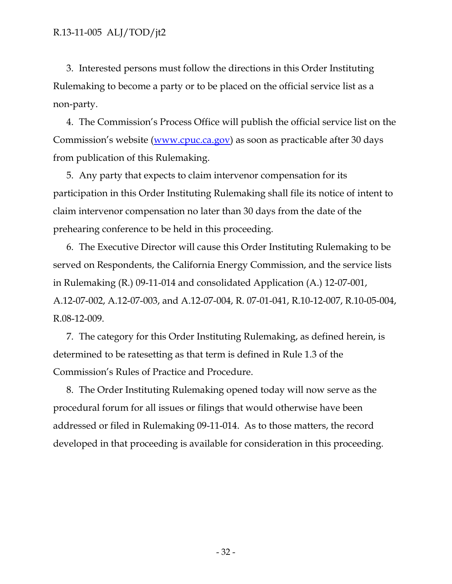3. Interested persons must follow the directions in this Order Instituting Rulemaking to become a party or to be placed on the official service list as a non-party.

4. The Commission's Process Office will publish the official service list on the Commission's website (www.cpuc.ca.gov) as soon as practicable after 30 days from publication of this Rulemaking.

5. Any party that expects to claim intervenor compensation for its participation in this Order Instituting Rulemaking shall file its notice of intent to claim intervenor compensation no later than 30 days from the date of the prehearing conference to be held in this proceeding.

6. The Executive Director will cause this Order Instituting Rulemaking to be served on Respondents, the California Energy Commission, and the service lists in Rulemaking (R.) 09-11-014 and consolidated Application (A.) 12-07-001, A.12-07-002, A.12-07-003, and A.12-07-004, R. 07-01-041, R.10-12-007, R.10-05-004, R.08-12-009.

7. The category for this Order Instituting Rulemaking, as defined herein, is determined to be ratesetting as that term is defined in Rule 1.3 of the Commission's Rules of Practice and Procedure.

8. The Order Instituting Rulemaking opened today will now serve as the procedural forum for all issues or filings that would otherwise have been addressed or filed in Rulemaking 09-11-014. As to those matters, the record developed in that proceeding is available for consideration in this proceeding.

- 32 -